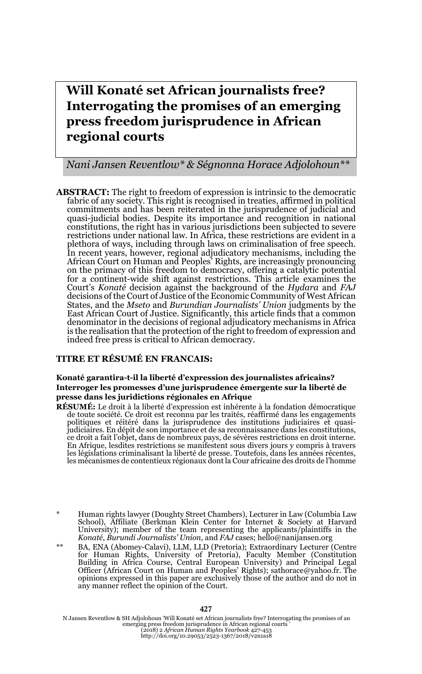# **Will Konaté set African journalists free? Interrogating the promises of an emerging press freedom jurisprudence in African regional courts**

### *Nani Jansen Reventlow\* & Ségnonna Horace Adjolohoun\*\**

**ABSTRACT:** The right to freedom of expression is intrinsic to the democratic fabric of any society. This right is recognised in treaties, affirmed in political commitments and has been reiterated in the jurisprudence of judicial and quasi-judicial bodies. Despite its importance and recognition in national constitutions, the right has in various jurisdictions been subjected to severe restrictions under national law. In Africa, these restrictions are evident in a plethora of ways, including through laws on criminalisation of free speech. In recent years, however, regional adjudicatory mechanisms, including the African Court on Human and Peoples' Rights, are increasingly pronouncing on the primacy of this freedom to democracy, offering a catalytic potential for a continent-wide shift against restrictions. This article examines the Court's *Konaté* decision against the background of the *Hydara* and *FAJ* decisions of the Court of Justice of the Economic Community of West African States, and the *Mseto* and *Burundian Journalists' Union* judgments by the East African Court of Justice. Significantly, this article finds that a common denominator in the decisions of regional adjudicatory mechanisms in Africa is the realisation that the protection of the right to freedom of expression and indeed free press is critical to African democracy.

#### **TITRE ET RÉSUMÉ EN FRANCAIS:**

#### **Konaté garantira-t-il la liberté d'expression des journalistes africains? Interroger les promesses d'une jurisprudence émergente sur la liberté de presse dans les juridictions régionales en Afrique**

- **RÉSUMÉ:** Le droit à la liberté d'expression est inhérente à la fondation démocratique de toute société. Ce droit est reconnu par les traités, réaffirmé dans les engagements politiques et réitéré dans la jurisprudence des institutions judiciaires et quasi-judiciaires. En dépit de son importance et de sa reconnaissance dans les constitutions, ce droit a fait l'objet, dans de nombreux pays, de sévères restrictions en droit interne. En Afrique, lesdites restrictions se manifestent sous divers jours y compris à travers les législations criminalisant la liberté de presse. Toutefois, dans les années récentes, les mécanismes de contentieux régionaux dont la Cour africaine des droits de l'homme
- \* Human rights lawyer (Doughty Street Chambers), Lecturer in Law (Columbia Law School), Affiliate (Berkman Klein Center for Internet & Society at Harvard University); member of the team representing the applicants/plaintiffs in the *Konaté*, *Burundi Journalists' Union*, and *FAJ* cases; hello@nanijansen.org
- BA, ENA (Abomey-Calavi), LLM, LLD (Pretoria); Extraordinary Lecturer (Centre for Human Rights, University of Pretoria), Faculty Member (Constitution Building in Africa Course, Central European University) and Principal Legal Officer (African Court on Human and Peoples' Rights); sathorace@yahoo.fr. The opinions expressed in this paper are exclusively those of the author and do not in any manner reflect the opinion of the Court.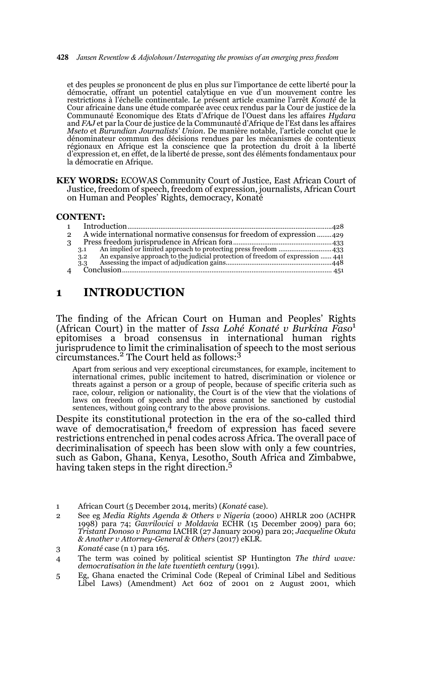#### 428 *Jansen Reventlow & Adjolohoun/Interrogating the promises of an emerging press freedom*

et des peuples se prononcent de plus en plus sur l'importance de cette liberté pour la démocratie, offrant un potentiel catalytique en vue d'un mouvement contre les restrictions à l'échelle continentale. Le présent article examine l'arrêt *Konaté* de la Cour africaine dans une étude comparée avec ceux rendus par la Cour de justice de la Communauté Economique des Etats d'Afrique de l'Ouest dans les affaires *Hydara* and *FAJ* et par la Cour de justice de la Communauté d'Afrique de l'Est dans les affaires *Mseto* et *Burundian Journalists' Union*. De manière notable, l'article conclut que le dénominateur commun des décisions rendues par les mécanismes de contentieux régionaux en Afrique est la conscience que la protection du droit à la liberté d'expression et, en effet, de la liberté de presse, sont des éléments fondamentaux pour la démocratie en Afrique.

**KEY WORDS:** ECOWAS Community Court of Justice, East African Court of Justice, freedom of speech, freedom of expression, journalists, African Court on Human and Peoples' Rights, democracy, Konaté

#### **CONTENT:**

| $\overline{2}$ | A wide international normative consensus for freedom of expression 429                |  |
|----------------|---------------------------------------------------------------------------------------|--|
| 3              |                                                                                       |  |
|                | 3.1                                                                                   |  |
|                | An expansive approach to the judicial protection of freedom of expression  441<br>3.2 |  |
|                | 3.3                                                                                   |  |
| $\mathbf{A}$   |                                                                                       |  |
|                |                                                                                       |  |

# **1 INTRODUCTION**

The finding of the African Court on Human and Peoples' Rights (African Court) in the matter of *Issa Lohé Konaté v Burkina Faso*<sup>1</sup> epitomises a broad consensus in international human rights jurisprudence to limit the criminalisation of speech to the most serious circumstances.2 The Court held as follows:3

Apart from serious and very exceptional circumstances, for example, incitement to international crimes, public incitement to hatred, discrimination or violence or threats against a person or a group of people, because of specific criteria such as race, colour, religion or nationality, the Court is of the view that the violations of laws on freedom of speech and the press cannot be sanctioned by custodial sentences, without going contrary to the above provisions.

Despite its constitutional protection in the era of the so-called third wave of democratisation,<sup>4</sup> freedom of expression has faced severe restrictions entrenched in penal codes across Africa. The overall pace of decriminalisation of speech has been slow with only a few countries, such as Gabon, Ghana, Kenya, Lesotho, South Africa and Zimbabwe, having taken steps in the right direction.<sup>5</sup>

5 Eg, Ghana enacted the Criminal Code (Repeal of Criminal Libel and Seditious Libel Laws) (Amendment) Act 602 of 2001 on 2 August 2001, which

<sup>1</sup> African Court (5 December 2014, merits) (*Konaté* case).

<sup>2</sup> See eg *Media Rights Agenda & Others v Nigeria* (2000) AHRLR 200 (ACHPR 1998) para 74; *Gavrilovici v Moldavia* ECHR (15 December 2009) para 60; *Tristant Donoso v Panama* IACHR (27 January 2009) para 20; *Jacqueline Okuta & Another v Attorney-General & Others* (2017) eKLR.

<sup>3</sup> *Konaté* case (n 1) para 165.

<sup>4</sup> The term was coined by political scientist SP Huntington *The third wave: democratisation in the late twentieth century* (1991).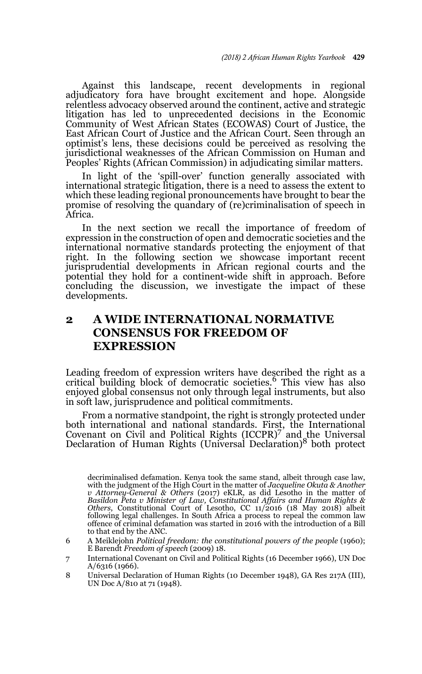Against this landscape, recent developments in regional adjudicatory fora have brought excitement and hope. Alongside relentless advocacy observed around the continent, active and strategic litigation has led to unprecedented decisions in the Economic Community of West African States (ECOWAS) Court of Justice, the East African Court of Justice and the African Court. Seen through an optimist's lens, these decisions could be perceived as resolving the jurisdictional weaknesses of the African Commission on Human and Peoples' Rights (African Commission) in adjudicating similar matters.

In light of the 'spill-over' function generally associated with international strategic litigation, there is a need to assess the extent to which these leading regional pronouncements have brought to bear the promise of resolving the quandary of (re)criminalisation of speech in Africa.

In the next section we recall the importance of freedom of expression in the construction of open and democratic societies and the international normative standards protecting the enjoyment of that right. In the following section we showcase important recent jurisprudential developments in African regional courts and the potential they hold for a continent-wide shift in approach. Before concluding the discussion, we investigate the impact of these developments.

# **2 A WIDE INTERNATIONAL NORMATIVE CONSENSUS FOR FREEDOM OF EXPRESSION**

Leading freedom of expression writers have described the right as a critical building block of democratic societies.6 This view has also enjoyed global consensus not only through legal instruments, but also in soft law, jurisprudence and political commitments.

From a normative standpoint, the right is strongly protected under both international and national standards. First, the International Covenant on Civil and Political Rights (ICCPR)<sup>7</sup> and the Universal Declaration of Human Rights (Universal Declaration)8 both protect

- 6 A Meiklejohn *Political freedom: the constitutional powers of the people* (1960); E Barendt *Freedom of speech* (2009) 18.
- 7 International Covenant on Civil and Political Rights (16 December 1966), UN Doc A/6316 (1966).
- 8 Universal Declaration of Human Rights (10 December 1948), GA Res 217A (III), UN Doc A/810 at 71 (1948).

decriminalised defamation. Kenya took the same stand, albeit through case law, with the judgment of the High Court in the matter of *Jacqueline Okuta & Another v* Attorney-General & Others (2017) eKLR, as did Lesotho in the matter of *Basildon Peta v Minister of Law, Constitutional Affairs and Human Rights & Others*, Constitutional Court of Lesotho, CC 11/2016 (18 May 2018) albeit following legal challenges. In South Africa a process to repeal the common law offence of criminal defamation was started in 2016 with the introduction of a Bill to that end by the ANC.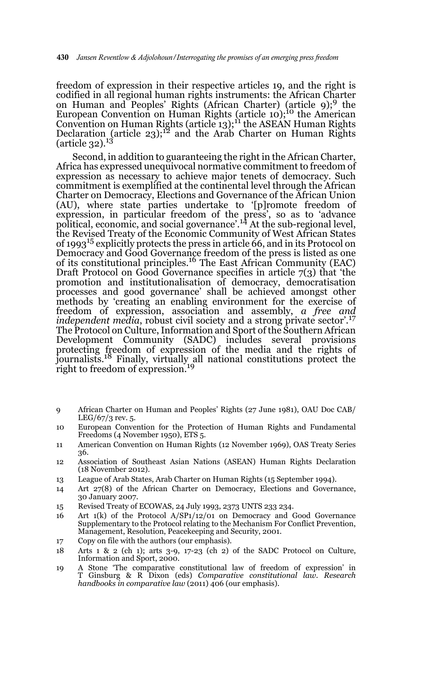freedom of expression in their respective articles 19, and the right is codified in all regional human rights instruments: the African Charter on Human and Peoples' Rights (African Charter) (article 9);<sup>9</sup> the European Convention on Human Rights (article 10);<sup>10</sup> the American Convention on Human Rights (article 13);11 the ASEAN Human Rights Declaration (article 23);<sup>12</sup> and the Arab Charter on Human Rights (article  $32$ ).<sup>13</sup>

Second, in addition to guaranteeing the right in the African Charter, Africa has expressed unequivocal normative commitment to freedom of expression as necessary to achieve major tenets of democracy. Such commitment is exemplified at the continental level through the African Charter on Democracy, Elections and Governance of the African Union (AU), where state parties undertake to '[p]romote freedom of expression, in particular freedom of the press', so as to 'advance political, economic, and social governance'.14 At the sub-regional level, the Revised Treaty of the Economic Community of West African States of 199315 explicitly protects the press in article 66, and in its Protocol on Democracy and Good Governance freedom of the press is listed as one of its constitutional principles.16 The East African Community (EAC) Draft Protocol on Good Governance specifies in article 7(3) that 'the promotion and institutionalisation of democracy, democratisation processes and good governance' shall be achieved amongst other methods by 'creating an enabling environment for the exercise of freedom of expression, association and assembly, *a free and independent media, robust civil society and a strong private sector*<sup>'.17</sup> The Protocol on Culture, Information and Sport of the Southern African Development Community (SADC) includes several provisions protecting freedom of expression of the media and the rights of journalists.18 Finally, virtually all national constitutions protect the right to freedom of expression.<sup>19</sup>

- 9 African Charter on Human and Peoples' Rights (27 June 1981), OAU Doc CAB/ LEG/67/3 rev. 5.
- 10 European Convention for the Protection of Human Rights and Fundamental Freedoms (4 November 1950), ETS 5.
- 11 American Convention on Human Rights (12 November 1969), OAS Treaty Series 36.
- 12 Association of Southeast Asian Nations (ASEAN) Human Rights Declaration (18 November 2012).
- 13 League of Arab States, Arab Charter on Human Rights (15 September 1994).
- 14 Art 27(8) of the African Charter on Democracy, Elections and Governance, 30 January 2007.
- 15 Revised Treaty of ECOWAS, 24 July 1993, 2373 UNTS 233 234.
- 16 Art 1(k) of the Protocol A/SP1/12/01 on Democracy and Good Governance Supplementary to the Protocol relating to the Mechanism For Conflict Prevention, Management, Resolution, Peacekeeping and Security, 2001.
- 17 Copy on file with the authors (our emphasis).
- 18 Arts 1 & 2 (ch 1); arts 3-9, 17-23 (ch 2) of the SADC Protocol on Culture, Information and Sport, 2000.
- 19 A Stone 'The comparative constitutional law of freedom of expression' in T Ginsburg & R Dixon (eds) *Comparative constitutional law. Research handbooks in comparative law* (2011) 406 (our emphasis).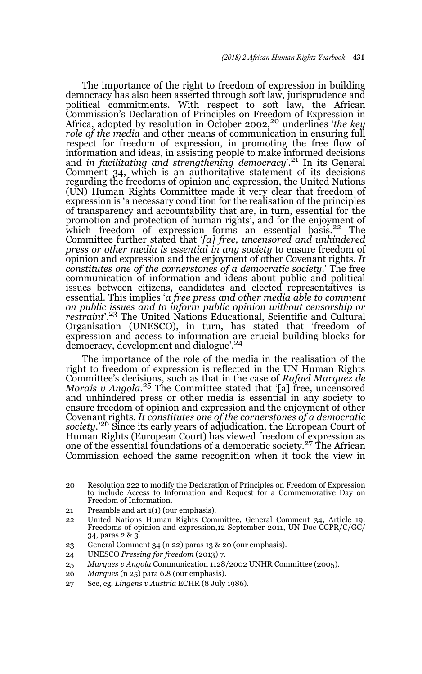The importance of the right to freedom of expression in building democracy has also been asserted through soft law, jurisprudence and political commitments. With respect to soft law, the African Commission's Declaration of Principles on Freedom of Expression in Africa, adopted by resolution in October 2002,20 underlines '*the key role of the media* and other means of communication in ensuring full respect for freedom of expression, in promoting the free flow of information and ideas, in assisting people to make informed decisions and *in facilitating and strengthening democracy*'.21 In its General Comment 34, which is an authoritative statement of its decisions regarding the freedoms of opinion and expression, the United Nations (UN) Human Rights Committee made it very clear that freedom of expression is 'a necessary condition for the realisation of the principles of transparency and accountability that are, in turn, essential for the promotion and protection of human rights', and for the enjoyment of which freedom of expression forms an essential basis.<sup>22</sup> The Committee further stated that '*[a] free, uncensored and unhindered press or other media is essential in any society* to ensure freedom of opinion and expression and the enjoyment of other Covenant rights. *It constitutes one of the cornerstones of a democratic society*.' The free communication of information and ideas about public and political issues between citizens, candidates and elected representatives is essential. This implies '*a free press and other media able to comment on public issues and to inform public opinion without censorship or restraint*'.23 The United Nations Educational, Scientific and Cultural Organisation (UNESCO), in turn, has stated that 'freedom of expression and access to information are crucial building blocks for democracy, development and dialogue'.24

The importance of the role of the media in the realisation of the right to freedom of expression is reflected in the UN Human Rights Committee's decisions, such as that in the case of *Rafael Marquez de Morais v Angola*. 25 The Committee stated that '[a] free, uncensored and unhindered press or other media is essential in any society to ensure freedom of opinion and expression and the enjoyment of other Covenant rights. *It constitutes one of the cornerstones of a democratic society*.'26 Since its early years of adjudication, the European Court of Human Rights (European Court) has viewed freedom of expression as<br>one of the essential foundations of a democratic society.<sup>27</sup> The African Commission echoed the same recognition when it took the view in

- 21 Preamble and art 1(1) (our emphasis).
- 22 United Nations Human Rights Committee, General Comment 34, Article 19: Freedoms of opinion and expression,12 September 2011, UN Doc CCPR/C/GC/ 34, paras 2 & 3.
- 23 General Comment 34 (n 22) paras 13 & 20 (our emphasis).
- 24 UNESCO *Pressing for freedom* (2013) 7.
- 25 *Marques v Angola* Communication 1128/2002 UNHR Committee (2005).
- 26 *Marques* (n 25) para 6.8 (our emphasis).
- 27 See, eg, *Lingens v Austria* ECHR (8 July 1986).

<sup>20</sup> Resolution 222 to modify the Declaration of Principles on Freedom of Expression to include Access to Information and Request for a Commemorative Day on Freedom of Information.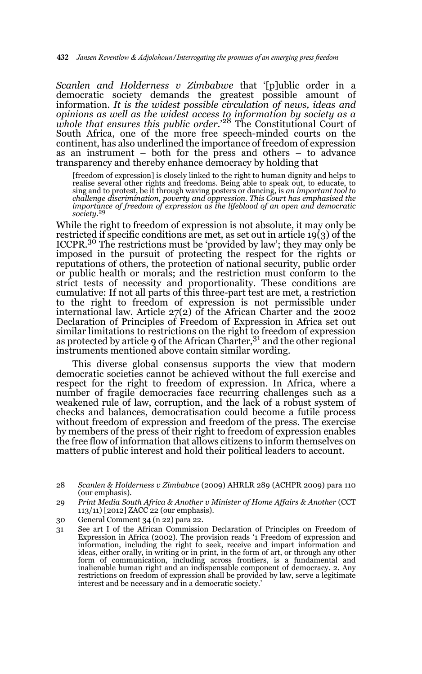*Scanlen and Holderness v Zimbabwe* that '[p]ublic order in a democratic society demands the greatest possible amount of information. *It is the widest possible circulation of news, ideas and opinions as well as the widest access to information by society as a whole that ensures this public order*.'28 The Constitutional Court of South Africa, one of the more free speech-minded courts on the continent, has also underlined the importance of freedom of expression as an instrument – both for the press and others – to advance transparency and thereby enhance democracy by holding that

[freedom of expression] is closely linked to the right to human dignity and helps to realise several other rights and freedoms. Being able to speak out, to educate, to sing and to protest, be it through waving posters or dancing, is *an important tool to challenge discrimination, poverty and oppression. This Court has emphasised the importance of freedom of expression as the lifeblood of an open and democratic society*. 29

While the right to freedom of expression is not absolute, it may only be restricted if specific conditions are met, as set out in article 19(3) of the ICCPR.30 The restrictions must be 'provided by law'; they may only be imposed in the pursuit of protecting the respect for the rights or reputations of others, the protection of national security, public order or public health or morals; and the restriction must conform to the strict tests of necessity and proportionality. These conditions are cumulative: If not all parts of this three-part test are met, a restriction to the right to freedom of expression is not permissible under international law. Article 27(2) of the African Charter and the 2002 Declaration of Principles of Freedom of Expression in Africa set out similar limitations to restrictions on the right to freedom of expression as protected by article 9 of the African Charter,  $31$  and the other regional instruments mentioned above contain similar wording.

This diverse global consensus supports the view that modern democratic societies cannot be achieved without the full exercise and respect for the right to freedom of expression. In Africa, where a number of fragile democracies face recurring challenges such as a weakened rule of law, corruption, and the lack of a robust system of checks and balances, democratisation could become a futile process without freedom of expression and freedom of the press. The exercise by members of the press of their right to freedom of expression enables the free flow of information that allows citizens to inform themselves on matters of public interest and hold their political leaders to account.

- 30 General Comment 34 (n 22) para 22.
- 31 See art I of the African Commission Declaration of Principles on Freedom of Expression in Africa (2002). The provision reads '1 Freedom of expression and information, including the right to seek, receive and impart information and ideas, either orally, in writing or in print, in the form of art, or through any other form of communication, including across frontiers, is a fundamental and inalienable human right and an indispensable component of democracy. 2. Any restrictions on freedom of expression shall be provided by law, serve a legitimate interest and be necessary and in a democratic society.

<sup>28</sup> *Scanlen & Holderness v Zimbabwe* (2009) AHRLR 289 (ACHPR 2009) para 110 (our emphasis).

<sup>29</sup> *Print Media South Africa & Another v Minister of Home Affairs & Another* (CCT 113/11) [2012] ZACC 22 (our emphasis).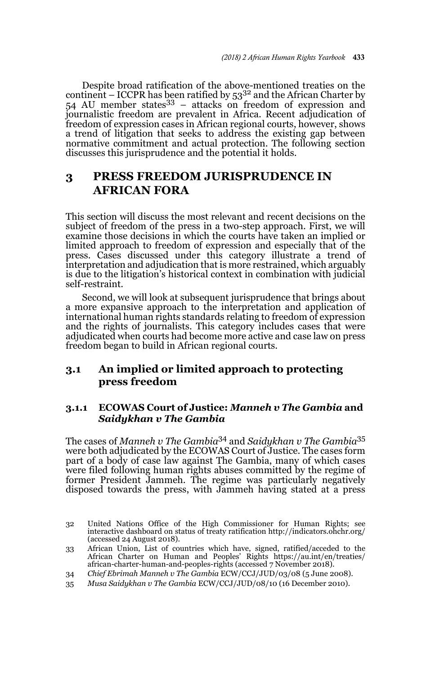Despite broad ratification of the above-mentioned treaties on the continent – ICCPR has been ratified by  $53^{32}$  and the African Charter by 54 AU member states  $33 - 3$  attacks on freedom of expression and journalistic freedom are prevalent in Africa. Recent adjudication of freedom of expression cases in African regional courts, however, shows a trend of litigation that seeks to address the existing gap between normative commitment and actual protection. The following section discusses this jurisprudence and the potential it holds.

# **3 PRESS FREEDOM JURISPRUDENCE IN AFRICAN FORA**

This section will discuss the most relevant and recent decisions on the subject of freedom of the press in a two-step approach. First, we will examine those decisions in which the courts have taken an implied or limited approach to freedom of expression and especially that of the press. Cases discussed under this category illustrate a trend of interpretation and adjudication that is more restrained, which arguably is due to the litigation's historical context in combination with judicial self-restraint.

Second, we will look at subsequent jurisprudence that brings about a more expansive approach to the interpretation and application of international human rights standards relating to freedom of expression and the rights of journalists. This category includes cases that were adjudicated when courts had become more active and case law on press freedom began to build in African regional courts.

# **3.1 An implied or limited approach to protecting press freedom**

### **3.1.1 ECOWAS Court of Justice:** *Manneh v The Gambia* **and**  *Saidykhan v The Gambia*

The cases of *Manneh v The Gambia*34 and *Saidykhan v The Gambia*<sup>35</sup> were both adjudicated by the ECOWAS Court of Justice. The cases form part of a body of case law against The Gambia, many of which cases were filed following human rights abuses committed by the regime of former President Jammeh. The regime was particularly negatively disposed towards the press, with Jammeh having stated at a press

<sup>32</sup> United Nations Office of the High Commissioner for Human Rights; see interactive dashboard on status of treaty ratification http://indicators.ohchr.org/ (accessed 24 August 2018).

<sup>33</sup> African Union, List of countries which have, signed, ratified/acceded to the African Charter on Human and Peoples' Rights https://au.int/en/treaties/ african-charter-human-and-peoples-rights (accessed 7 November 2018).

<sup>34</sup> *Chief Ebrimah Manneh v The Gambia* ECW/CCJ/JUD/03/08 (5 June 2008).

<sup>35</sup> *Musa Saidykhan v The Gambia* ECW/CCJ/JUD/08/10 (16 December 2010).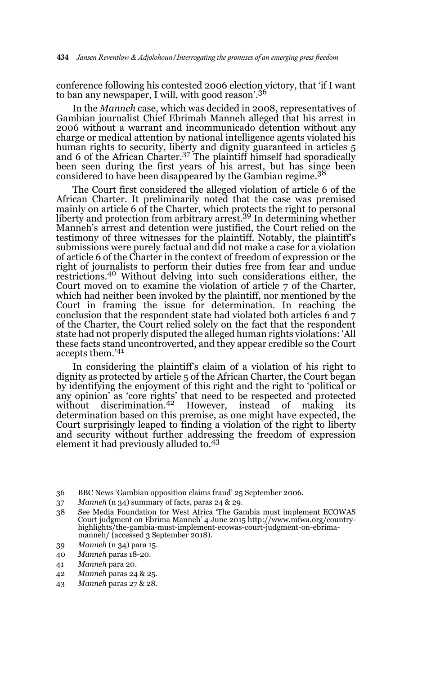conference following his contested 2006 election victory, that 'if I want to ban any newspaper, I will, with good reason'.<sup>36</sup>

In the *Manneh* case, which was decided in 2008, representatives of Gambian journalist Chief Ebrimah Manneh alleged that his arrest in 2006 without a warrant and incommunicado detention without any charge or medical attention by national intelligence agents violated his human rights to security, liberty and dignity guaranteed in articles 5 and 6 of the African Charter.37 The plaintiff himself had sporadically been seen during the first years of his arrest, but has since been considered to have been disappeared by the Gambian regime.<sup>38</sup>

The Court first considered the alleged violation of article 6 of the African Charter. It preliminarily noted that the case was premised mainly on article 6 of the Charter, which protects the right to personal liberty and protection from arbitrary arrest.<sup>39</sup> In determining whether Manneh's arrest and detention were justified, the Court relied on the testimony of three witnesses for the plaintiff. Notably, the plaintiff's submissions were purely factual and did not make a case for a violation of article 6 of the Charter in the context of freedom of expression or the right of journalists to perform their duties free from fear and undue restrictions.<sup>40</sup> Without delving into such considerations either, the Court moved on to examine the violation of article 7 of the Charter, which had neither been invoked by the plaintiff, nor mentioned by the Court in framing the issue for determination. In reaching the conclusion that the respondent state had violated both articles 6 and 7 of the Charter, the Court relied solely on the fact that the respondent state had not properly disputed the alleged human rights violations: 'All these facts stand uncontroverted, and they appear credible so the Court accepts them.'41

In considering the plaintiff's claim of a violation of his right to dignity as protected by article 5 of the African Charter, the Court began by identifying the enjoyment of this right and the right to 'political or any opinion' as 'core rights' that need to be respected and protected<br>without discrimination.<sup>42</sup> However, instead of making its determination based on this premise, as one might have expected, the Court surprisingly leaped to finding a violation of the right to liberty and security without further addressing the freedom of expression element it had previously alluded to.43

- 36 BBC News 'Gambian opposition claims fraud' 25 September 2006.
- 37 *Manneh* (n 34) summary of facts, paras 24 & 29.
- 38 See Media Foundation for West Africa 'The Gambia must implement ECOWAS Court judgment on Ebrima Manneh' 4 June 2015 http://www.mfwa.org/countryhighlights/the-gambia-must-implement-ecowas-court-judgment-on-ebrimamanneh/ (accessed 3 September 2018).
- 39 *Manneh* (n 34) para 15.
- 40 *Manneh* paras 18-20.
- 41 *Manneh* para 20.
- 42 *Manneh* paras 24 & 25.
- 43 *Manneh* paras 27 & 28.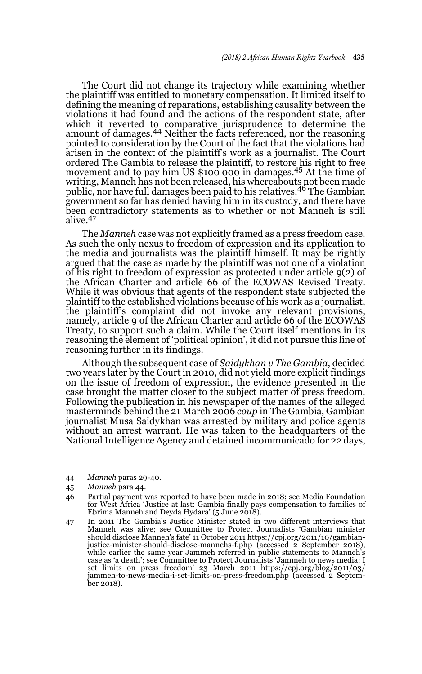The Court did not change its trajectory while examining whether the plaintiff was entitled to monetary compensation. It limited itself to defining the meaning of reparations, establishing causality between the violations it had found and the actions of the respondent state, after which it reverted to comparative jurisprudence to determine the amount of damages.44 Neither the facts referenced, nor the reasoning pointed to consideration by the Court of the fact that the violations had arisen in the context of the plaintiff's work as a journalist. The Court ordered The Gambia to release the plaintiff, to restore his right to free movement and to pay him US \$100 000 in damages.<sup>45</sup> At the time of writing, Manneh has not been released, his whereabouts not been made<br>public, nor have full damages been paid to his relatives.<sup>46</sup> The Gambian government so far has denied having him in its custody, and there have been contradictory statements as to whether or not Manneh is still alive.<sup>47</sup>

The *Manneh* case was not explicitly framed as a press freedom case. As such the only nexus to freedom of expression and its application to the media and journalists was the plaintiff himself. It may be rightly argued that the case as made by the plaintiff was not one of a violation of his right to freedom of expression as protected under article 9(2) of the African Charter and article 66 of the ECOWAS Revised Treaty. While it was obvious that agents of the respondent state subjected the plaintiff to the established violations because of his work as a journalist, the plaintiff's complaint did not invoke any relevant provisions, namely, article 9 of the African Charter and article 66 of the ECOWAS Treaty, to support such a claim. While the Court itself mentions in its reasoning the element of 'political opinion', it did not pursue this line of reasoning further in its findings.

Although the subsequent case of *Saidykhan v The Gambia*, decided two years later by the Court in 2010, did not yield more explicit findings on the issue of freedom of expression, the evidence presented in the case brought the matter closer to the subject matter of press freedom. Following the publication in his newspaper of the names of the alleged masterminds behind the 21 March 2006 *coup* in The Gambia, Gambian journalist Musa Saidykhan was arrested by military and police agents without an arrest warrant. He was taken to the headquarters of the National Intelligence Agency and detained incommunicado for 22 days,

- 44 *Manneh* paras 29-40.
- 45 *Manneh* para 44.

<sup>46</sup> Partial payment was reported to have been made in 2018; see Media Foundation for West Africa 'Justice at last: Gambia finally pays compensation to families of Ebrima Manneh and Deyda Hydara' (5 June 2018).

<sup>47</sup> In 2011 The Gambia's Justice Minister stated in two different interviews that Manneh was alive; see Committee to Protect Journalists 'Gambian minister should disclose Manneh's fate' 11 October 2011 https://cpj.org/2011/10/gambian-justice-minister-should-disclose-mannehs-f.php (accessed 2 September 2018), while earlier the same year Jammeh referred in public statements to Manneh's case as 'a death'; see Committee to Protect Journalists 'Jammeh to news media: I set limits on press freedom' 23 March 2011 https://cpj.org/blog/2011/03/ jammeh-to-news-media-i-set-limits-on-press-freedom.php (accessed 2 September 2018).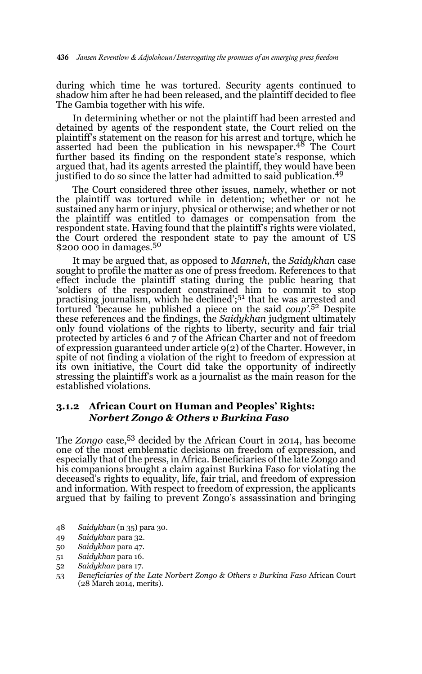during which time he was tortured. Security agents continued to shadow him after he had been released, and the plaintiff decided to flee The Gambia together with his wife.

In determining whether or not the plaintiff had been arrested and detained by agents of the respondent state, the Court relied on the plaintiff's statement on the reason for his arrest and torture, which he asserted had been the publication in his newspaper.<sup>48</sup> The Court further based its finding on the respondent state's response, which argued that, had its agents arrested the plaintiff, they would have been justified to do so since the latter had admitted to said publication.<sup>49</sup>

The Court considered three other issues, namely, whether or not the plaintiff was tortured while in detention; whether or not he sustained any harm or injury, physical or otherwise; and whether or not the plaintiff was entitled to damages or compensation from the respondent state. Having found that the plaintiff's rights were violated, the Court ordered the respondent state to pay the amount of US \$200 000 in damages.<sup>50</sup>

It may be argued that, as opposed to *Manneh*, the *Saidykhan* case sought to profile the matter as one of press freedom. References to that effect include the plaintiff stating during the public hearing that 'soldiers of the respondent constrained him to commit to stop practising journalism, which he declined';51 that he was arrested and tortured 'because he published a piece on the said *coup'*. 52 Despite these references and the findings, the *Saidykhan* judgment ultimately only found violations of the rights to liberty, security and fair trial protected by articles 6 and 7 of the African Charter and not of freedom of expression guaranteed under article 9(2) of the Charter. However, in spite of not finding a violation of the right to freedom of expression at its own initiative, the Court did take the opportunity of indirectly stressing the plaintiff's work as a journalist as the main reason for the established violations.

### **3.1.2 African Court on Human and Peoples' Rights:**  *Norbert Zongo & Others v Burkina Faso*

The *Zongo* case,<sup>53</sup> decided by the African Court in 2014, has become one of the most emblematic decisions on freedom of expression, and especially that of the press, in Africa. Beneficiaries of the late Zongo and his companions brought a claim against Burkina Faso for violating the deceased's rights to equality, life, fair trial, and freedom of expression and information. With respect to freedom of expression, the applicants argued that by failing to prevent Zongo's assassination and bringing

- 48 *Saidykhan* (n 35) para 30.
- 49 *Saidykhan* para 32.
- 50 *Saidykhan* para 47.
- 51 *Saidykhan* para 16.
- 52 *Saidykhan* para 17.
- 53 *Beneficiaries of the Late Norbert Zongo & Others v Burkina Faso* African Court (28 March 2014, merits).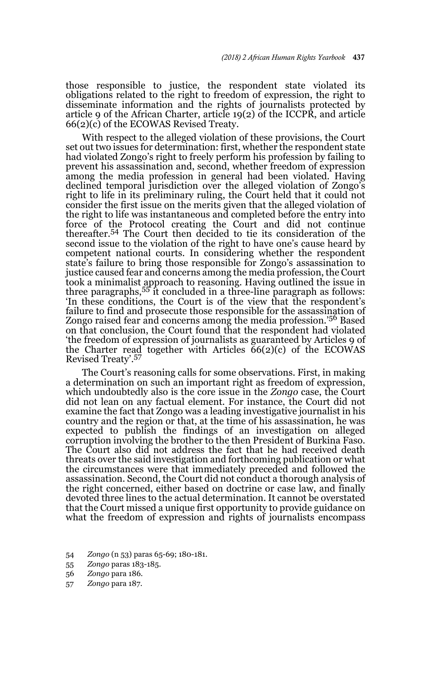those responsible to justice, the respondent state violated its obligations related to the right to freedom of expression, the right to disseminate information and the rights of journalists protected by article 9 of the African Charter, article 19(2) of the ICCPR, and article 66(2)(c) of the ECOWAS Revised Treaty.

With respect to the alleged violation of these provisions, the Court set out two issues for determination: first, whether the respondent state had violated Zongo's right to freely perform his profession by failing to prevent his assassination and, second, whether freedom of expression among the media profession in general had been violated. Having declined temporal jurisdiction over the alleged violation of Zongo's right to life in its preliminary ruling, the Court held that it could not consider the first issue on the merits given that the alleged violation of the right to life was instantaneous and completed before the entry into force of the Protocol creating the Court and did not continue thereafter.<sup>54</sup> The Court then decided to tie its consideration of the second issue to the violation of the right to have one's cause heard by competent national courts. In considering whether the respondent state's failure to bring those responsible for Zongo's assassination to justice caused fear and concerns among the media profession, the Court took a minimalist approach to reasoning. Having outlined the issue in three paragraphs,55 it concluded in a three-line paragraph as follows: 'In these conditions, the Court is of the view that the respondent's failure to find and prosecute those responsible for the assassination of Zongo raised fear and concerns among the media profession.'56 Based on that conclusion, the Court found that the respondent had violated 'the freedom of expression of journalists as guaranteed by Articles 9 of the Charter read together with Articles 66(2)(c) of the ECOWAS<br>Revised Treaty'.<sup>57</sup>

The Court's reasoning calls for some observations. First, in making a determination on such an important right as freedom of expression, which undoubtedly also is the core issue in the *Zongo* case, the Court did not lean on any factual element. For instance, the Court did not examine the fact that Zongo was a leading investigative journalist in his country and the region or that, at the time of his assassination, he was expected to publish the findings of an investigation on alleged corruption involving the brother to the then President of Burkina Faso. The Court also did not address the fact that he had received death threats over the said investigation and forthcoming publication or what the circumstances were that immediately preceded and followed the assassination. Second, the Court did not conduct a thorough analysis of the right concerned, either based on doctrine or case law, and finally devoted three lines to the actual determination. It cannot be overstated that the Court missed a unique first opportunity to provide guidance on what the freedom of expression and rights of journalists encompass

<sup>54</sup> *Zongo* (n 53) paras 65-69; 180-181.

<sup>55</sup> *Zongo* paras 183-185.

<sup>56</sup> *Zongo* para 186.

<sup>57</sup> *Zongo* para 187.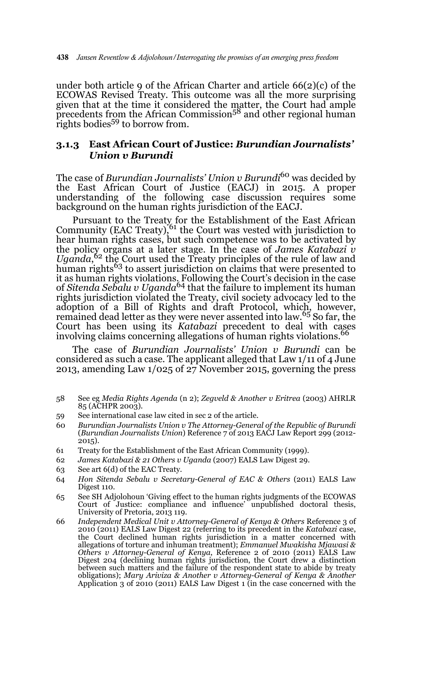under both article 9 of the African Charter and article 66(2)(c) of the ECOWAS Revised Treaty. This outcome was all the more surprising given that at the time it considered the matter, the Court had ample<br>precedents from the African Commission<sup>58</sup> and other regional human rights bodies<sup>59</sup> to borrow from.

#### **3.1.3 East African Court of Justice:** *Burundian Journalists' Union v Burundi*

The case of *Burundian Journalists' Union v Burundi*<sup>60</sup> was decided by the East African Court of Justice (EACJ) in 2015. A proper understanding of the following case discussion requires some background on the human rights jurisdiction of the EACJ.

Pursuant to the Treaty for the Establishment of the East African<br>Community (EAC Treaty),<sup>61</sup> the Court was vested with jurisdiction to hear human rights cases, but such competence was to be activated by the policy organs at a later stage. In the case of *James Katabazi v Uganda*, 62 the Court used the Treaty principles of the rule of law and human rights<sup>63</sup> to assert jurisdiction on claims that were presented to it as human rights violations. Following the Court's decision in the case<br>of *Sitenda Sebalu v Uganda<sup>64</sup>* that the failure to implement its human rights jurisdiction violated the Treaty, civil society advocacy led to the adoption of a Bill of Rights and draft Protocol, which, however, remained dead letter as they were never assented into law.<sup>65</sup> So far, the Court has been using its *Katabazi* precedent to deal with cases involving claims concerning allegations of human rights violations.<sup>66</sup>

The case of *Burundian Journalists' Union v Burundi* can be considered as such a case. The applicant alleged that Law 1/11 of 4 June 2013, amending Law 1/025 of 27 November 2015, governing the press

- 58 See eg *Media Rights Agenda* (n 2); *Zegveld & Another v Eritrea* (2003) AHRLR 85 (ACHPR 2003).
- 59 See international case law cited in sec 2 of the article.
- 60 *Burundian Journalists Union v The Attorney-General of the Republic of Burundi* (*Burundian Journalists Union*) Reference 7 of 2013 EACJ Law Report 299 (2012- 2015).
- 61 Treaty for the Establishment of the East African Community (1999).
- 62 *James Katabazi & 21 Others v Uganda* (2007) EALS Law Digest 29.
- 63 See art 6(d) of the EAC Treaty.
- 64 *Hon Sitenda Sebalu v Secretary-General of EAC & Others* (2011) EALS Law Digest 110.
- 65 See SH Adjolohoun 'Giving effect to the human rights judgments of the ECOWAS Court of Justice: compliance and influence' unpublished doctoral thesis, University of Pretoria, 2013 119.
- 66 *Independent Medical Unit v Attorney-General of Kenya & Others* Reference 3 of 2010 (2011) EALS Law Digest 22 (referring to its precedent in the *Katabazi* case, the Court declined human rights jurisdiction in a matter concerned with allegations of torture and inhuman treatment); *Emmanuel Mwakisha Mjawasi & Others v Attorney-General of Kenya*, Reference 2 of 2010 (2011) EALS Law Digest 204 (declining human rights jurisdiction, the Court drew a distinction between such matters and the failure of the respondent state to abide by treaty obligations); *Mary Ariviza & Another v Attorney-General of Kenya & Another* Application 3 of 2010 (2011) EALS Law Digest 1 (in the case concerned with the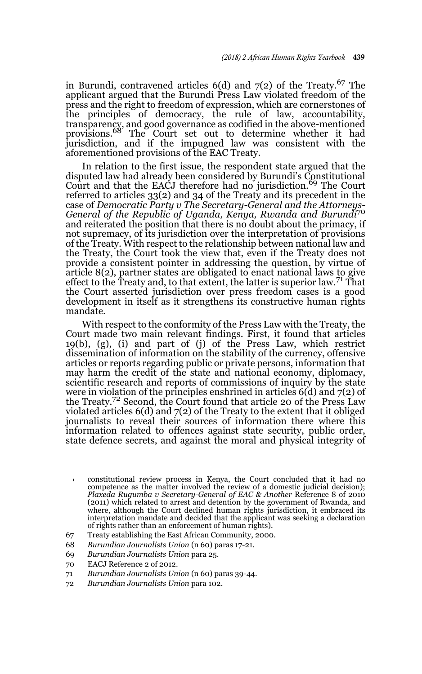in Burundi, contravened articles  $6(d)$  and  $7(2)$  of the Treaty.<sup>67</sup> The applicant argued that the Burundi Press Law violated freedom of the press and the right to freedom of expression, which are cornerstones of the principles of democracy, the rule of law, accountability, transparency, and good governance as codified in the above-mentioned provisions.68 The Court set out to determine whether it had jurisdiction, and if the impugned law was consistent with the aforementioned provisions of the EAC Treaty.

In relation to the first issue, the respondent state argued that the disputed law had already been considered by Burundi's Constitutional Court and that the EACJ therefore had no jurisdiction.<sup>69</sup> The Court referred to articles 33(2) and 34 of the Treaty and its precedent in the case of *Democratic Party v The Secretary-General and the Attorneys-General of the Republic of Uganda, Kenya, Rwanda and Burundi*<sup>70</sup> and reiterated the position that there is no doubt about the primacy, if not supremacy, of its jurisdiction over the interpretation of provisions of the Treaty. With respect to the relationship between national law and the Treaty, the Court took the view that, even if the Treaty does not provide a consistent pointer in addressing the question, by virtue of article 8(2), partner states are obligated to enact national laws to give effect to the Treaty and, to that extent, the latter is superior law.<sup>71</sup> That the Court asserted jurisdiction over press freedom cases is a good development in itself as it strengthens its constructive human rights mandate.

With respect to the conformity of the Press Law with the Treaty, the Court made two main relevant findings. First, it found that articles 19(b), (g), (i) and part of (j) of the Press Law, which restrict dissemination of information on the stability of the currency, offensive articles or reports regarding public or private persons, information that may harm the credit of the state and national economy, diplomacy, scientific research and reports of commissions of inquiry by the state were in violation of the principles enshrined in articles  $6(d)$  and  $7(2)$  of the Treaty.72 Second, the Court found that article 20 of the Press Law violated articles 6(d) and 7(2) of the Treaty to the extent that it obliged journalists to reveal their sources of information there where this information related to offences against state security, public order, state defence secrets, and against the moral and physical integrity of

- 71 *Burundian Journalists Union* (n 60) paras 39-44.
- 72 *Burundian Journalists Union* para 102.

<sup>66</sup> constitutional review process in Kenya, the Court concluded that it had no competence as the matter involved the review of a domestic judicial decision); *Plaxeda Rugumba v Secretary-General of EAC & Another* Reference 8 of 2010 (2011) which related to arrest and detention by the government of Rwanda, and where, although the Court declined human rights jurisdiction, it embraced its interpretation mandate and decided that the applicant was seeking a declaration of rights rather than an enforcement of human rights).

<sup>67</sup> Treaty establishing the East African Community, 2000.

<sup>68</sup> *Burundian Journalists Union* (n 60) paras 17-21.

<sup>69</sup> *Burundian Journalists Union* para 25.

<sup>70</sup> EACJ Reference 2 of 2012.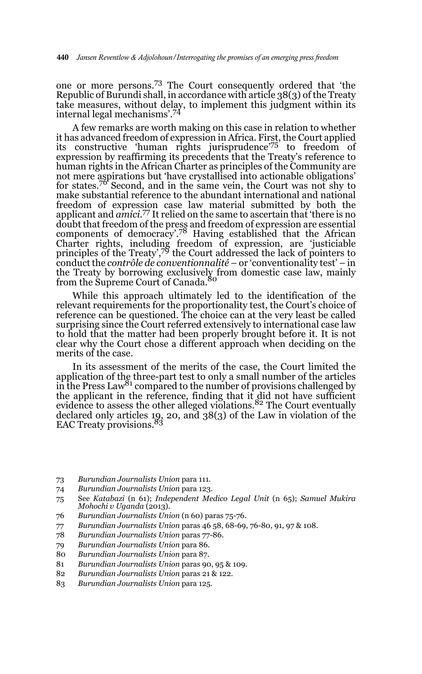one or more persons.73 The Court consequently ordered that 'the Republic of Burundi shall, in accordance with article 38(3) of the Treaty take measures, without delay, to implement this judgment within its internal legal mechanisms'.74

A few remarks are worth making on this case in relation to whether it has advanced freedom of expression in Africa. First, the Court applied its constructive 'human rights jurisprudence'<sup>75</sup> to freedom of expression by reaffirming its precedents that the Treaty's reference to human rights in the African Charter as principles of the Community are not mere aspirations but 'have crystallised into actionable obligations' for states.76 Second, and in the same vein, the Court was not shy to make substantial reference to the abundant international and national freedom of expression case law material submitted by both the applicant and *amici*. 77 It relied on the same to ascertain that 'there is no doubt that freedom of the press and freedom of expression are essential components of democracy'.78 Having established that the African Charter rights, including freedom of expression, are 'justiciable principles of the Treaty',<sup>79</sup> the Court addressed the lack of pointers to conduct the *contrôle de conventionnalité* – or 'conventionality test' – in the Treaty by borrowing exclusively from domestic case law, mainly<br>from the Supreme Court of Canada.<sup>80</sup>

While this approach ultimately led to the identification of the relevant requirements for the proportionality test, the Court's choice of reference can be questioned. The choice can at the very least be called surprising since the Court referred extensively to international case law to hold that the matter had been properly brought before it. It is not clear why the Court chose a different approach when deciding on the merits of the case.

In its assessment of the merits of the case, the Court limited the application of the three-part test to only a small number of the articles in the Press Law<sup>81</sup> compared to the number of provisions challenged by the applicant in the reference, finding that it did not have sufficient evidence to assess the other alleged violations.<sup>82</sup> The Court eventually declared only articles 19, 20, and 38(3) of the Law in violation of the<br>EAC Treaty provisions.<sup>83</sup>

- 73 *Burundian Journalists Union* para 111.
- 74 *Burundian Journalists Union* para 123.
- 75 See *Katabazi* (n 61); *Independent Medico Legal Unit* (n 65); *Samuel Mukira Mohochi v Uganda* (2013).
- 76 *Burundian Journalists Union* (n 60) paras 75-76.
- 77 *Burundian Journalists Union* paras 46 58, 68-69, 76-80, 91, 97 & 108.
- 78 *Burundian Journalists Union* paras 77-86.
- 79 *Burundian Journalists Union* para 86.
- 80 *Burundian Journalists Union* para 87.
- 81 *Burundian Journalists Union* paras 90, 95 & 109.
- 82 *Burundian Journalists Union* paras 21 & 122.
- 83 *Burundian Journalists Union* para 125.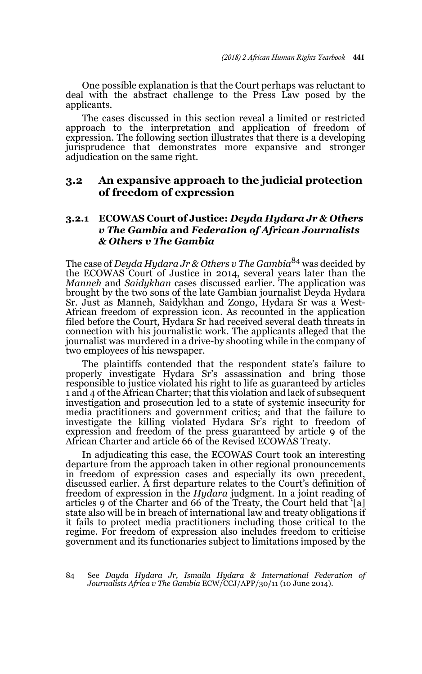One possible explanation is that the Court perhaps was reluctant to deal with the abstract challenge to the Press Law posed by the applicants.

The cases discussed in this section reveal a limited or restricted approach to the interpretation and application of freedom of expression. The following section illustrates that there is a developing jurisprudence that demonstrates more expansive and stronger adjudication on the same right.

### **3.2 An expansive approach to the judicial protection of freedom of expression**

### **3.2.1 ECOWAS Court of Justice:** *Deyda Hydara Jr & Others v The Gambia* **and** *Federation of African Journalists & Others v The Gambia*

The case of *Deyda Hydara Jr & Others v The Gambia*84 was decided by the ECOWAS Court of Justice in 2014, several years later than the *Manneh* and *Saidykhan* cases discussed earlier. The application was brought by the two sons of the late Gambian journalist Deyda Hydara Sr. Just as Manneh, Saidykhan and Zongo, Hydara Sr was a West-African freedom of expression icon. As recounted in the application filed before the Court, Hydara Sr had received several death threats in connection with his journalistic work. The applicants alleged that the journalist was murdered in a drive-by shooting while in the company of two employees of his newspaper.

The plaintiffs contended that the respondent state's failure to properly investigate Hydara Sr's assassination and bring those responsible to justice violated his right to life as guaranteed by articles 1 and 4 of the African Charter; that this violation and lack of subsequent investigation and prosecution led to a state of systemic insecurity for media practitioners and government critics; and that the failure to investigate the killing violated Hydara Sr's right to freedom of expression and freedom of the press guaranteed by article 9 of the African Charter and article 66 of the Revised ECOWAS Treaty.

In adjudicating this case, the ECOWAS Court took an interesting departure from the approach taken in other regional pronouncements in freedom of expression cases and especially its own precedent, discussed earlier. A first departure relates to the Court's definition of freedom of expression in the *Hydara* judgment. In a joint reading of articles 9 of the Charter and 66 of the Treaty, the Court held that '[a] state also will be in breach of international law and treaty obligations if it fails to protect media practitioners including those critical to the regime. For freedom of expression also includes freedom to criticise government and its functionaries subject to limitations imposed by the

84 See *Dayda Hydara Jr, Ismaila Hydara & International Federation of Journalists Africa v The Gambia* ECW/CCJ/APP/30/11 (10 June 2014).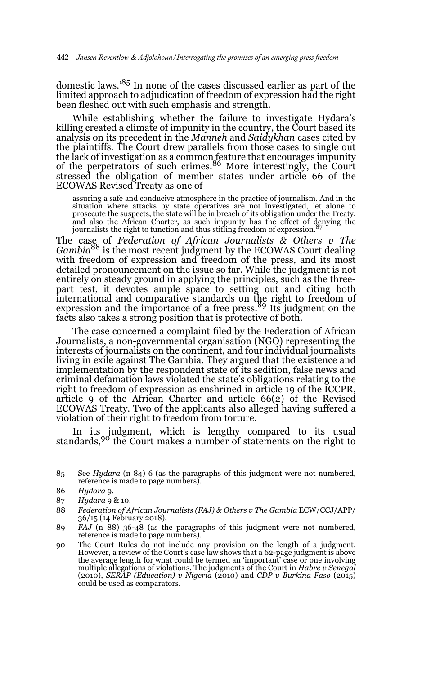domestic laws.'85 In none of the cases discussed earlier as part of the limited approach to adjudication of freedom of expression had the right been fleshed out with such emphasis and strength.

While establishing whether the failure to investigate Hydara's killing created a climate of impunity in the country, the Court based its analysis on its precedent in the *Manneh* and *Saidykhan* cases cited by the plaintiffs. The Court drew parallels from those cases to single out the lack of investigation as a common feature that encourages impunity<br>of the perpetrators of such crimes.<sup>86</sup> More interestingly, the Court stressed the obligation of member states under article 66 of the ECOWAS Revised Treaty as one of

assuring a safe and conducive atmosphere in the practice of journalism. And in the situation where attacks by state operatives are not investigated, let alone to prosecute the suspects, the state will be in breach of its obligation under the Treaty, and also the African Charter, as such impunity has the effect of denying the journalists the right to function and thus stifling freedom of expression.<sup>87</sup>

The case of *Federation of African Journalists & Others v The Gambia*88 is the most recent judgment by the ECOWAS Court dealing with freedom of expression and freedom of the press, and its most detailed pronouncement on the issue so far. While the judgment is not entirely on steady ground in applying the principles, such as the threepart test, it devotes ample space to setting out and citing both international and comparative standards on the right to freedom of expression and the importance of a free press.<sup>89</sup> Its judgment on the facts also takes a strong position that is protective of both.

The case concerned a complaint filed by the Federation of African Journalists, a non-governmental organisation (NGO) representing the interests of journalists on the continent, and four individual journalists living in exile against The Gambia. They argued that the existence and implementation by the respondent state of its sedition, false news and criminal defamation laws violated the state's obligations relating to the right to freedom of expression as enshrined in article 19 of the ICCPR, article 9 of the African Charter and article 66(2) of the Revised ECOWAS Treaty. Two of the applicants also alleged having suffered a violation of their right to freedom from torture.

In its judgment, which is lengthy compared to its usual standards,<sup>90</sup> the Court makes a number of statements on the right to

88 *Federation of African Journalists (FAJ) & Others v The Gambia* ECW/CCJ/APP/ 36/15 (14 February 2018).

<sup>85</sup> See *Hydara* (n 84) 6 (as the paragraphs of this judgment were not numbered, reference is made to page numbers).

<sup>86</sup> *Hydara* 9.

<sup>87</sup> *Hydara* 9 & 10.

<sup>89</sup> *FAJ* (n 88) 36-48 (as the paragraphs of this judgment were not numbered, reference is made to page numbers).

<sup>90</sup> The Court Rules do not include any provision on the length of a judgment. However, a review of the Court's case law shows that a 62-page judgment is above the average length for what could be termed an 'important' case or one involving multiple allegations of violations. The judgments of the Court in *Habre v Senegal* (2010), *SERAP (Education) v Nigeria* (2010) and *CDP v Burkina Faso* (2015) could be used as comparators.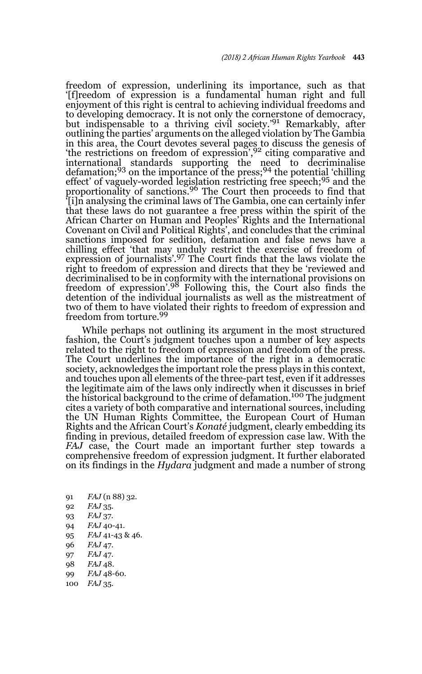freedom of expression, underlining its importance, such as that '[f]reedom of expression is a fundamental human right and full enjoyment of this right is central to achieving individual freedoms and to developing democracy. It is not only the cornerstone of democracy, but indispensable to a thriving civil society.'91 Remarkably, after outlining the parties' arguments on the alleged violation by The Gambia in this area, the Court devotes several pages to discuss the genesis of 'the restrictions on freedom of expression',92 citing comparative and international standards supporting the need to decriminalise defamation;93 on the importance of the press;94 the potential 'chilling effect' of vaguely-worded legislation restricting free speech;<sup>95</sup> and the proportionality of sanctions.96 The Court then proceeds to find that '[i]n analysing the criminal laws of The Gambia, one can certainly infer that these laws do not guarantee a free press within the spirit of the African Charter on Human and Peoples' Rights and the International Covenant on Civil and Political Rights', and concludes that the criminal sanctions imposed for sedition, defamation and false news have a chilling effect 'that may unduly restrict the exercise of freedom of expression of journalists'.97 The Court finds that the laws violate the right to freedom of expression and directs that they be 'reviewed and decriminalised to be in conformity with the international provisions on freedom of expression'.98 Following this, the Court also finds the detention of the individual journalists as well as the mistreatment of two of them to have violated their rights to freedom of expression and freedom from torture.<sup>99</sup>

While perhaps not outlining its argument in the most structured fashion, the Court's judgment touches upon a number of key aspects related to the right to freedom of expression and freedom of the press. The Court underlines the importance of the right in a democratic society, acknowledges the important role the press plays in this context, and touches upon all elements of the three-part test, even if it addresses the legitimate aim of the laws only indirectly when it discusses in brief the historical background to the crime of defamation.100 The judgment cites a variety of both comparative and international sources, including the UN Human Rights Committee, the European Court of Human Rights and the African Court's *Konaté* judgment, clearly embedding its finding in previous, detailed freedom of expression case law. With the *FAJ* case, the Court made an important further step towards a comprehensive freedom of expression judgment. It further elaborated on its findings in the *Hydara* judgment and made a number of strong

- 91 *FAJ* (n 88) 32.
- 92 *FAJ* 35.
- 93 *FAJ* 37.
- 94 *FAJ* 40-41.
- 95 *FAJ* 41-43 & 46.
- 96 *FAJ* 47.
- 97 *FAJ* 47.
- 98 *FAJ* 48.
- 99 *FAJ* 48-60.
- 100 *FAJ* 35.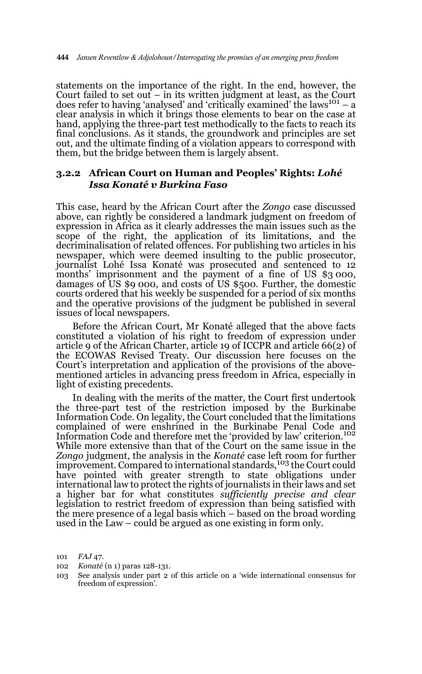statements on the importance of the right. In the end, however, the Court failed to set out  $-$  in its written judgment at least, as the Court does refer to having 'analysed' and 'critically examined' the laws<sup>101</sup> – a clear analysis in which it brings those elements to bear on the case at hand, applying the three-part test methodically to the facts to reach its final conclusions. As it stands, the groundwork and principles are set out, and the ultimate finding of a violation appears to correspond with them, but the bridge between them is largely absent.

### **3.2.2 African Court on Human and Peoples' Rights:** *Lohé Issa Konaté v Burkina Faso*

This case, heard by the African Court after the *Zongo* case discussed above, can rightly be considered a landmark judgment on freedom of expression in Africa as it clearly addresses the main issues such as the scope of the right, the application of its limitations, and the decriminalisation of related offences. For publishing two articles in his newspaper, which were deemed insulting to the public prosecutor, journalist Lohé Issa Konaté was prosecuted and sentenced to 12 months' imprisonment and the payment of a fine of US \$3 000, damages of US \$9 000, and costs of US \$500. Further, the domestic courts ordered that his weekly be suspended for a period of six months and the operative provisions of the judgment be published in several issues of local newspapers.

Before the African Court, Mr Konaté alleged that the above facts constituted a violation of his right to freedom of expression under article 9 of the African Charter, article 19 of ICCPR and article 66(2) of the ECOWAS Revised Treaty. Our discussion here focuses on the Court's interpretation and application of the provisions of the abovementioned articles in advancing press freedom in Africa, especially in light of existing precedents.

In dealing with the merits of the matter, the Court first undertook the three-part test of the restriction imposed by the Burkinabe Information Code. On legality, the Court concluded that the limitations complained of were enshrined in the Burkinabe Penal Code and Information Code and therefore met the 'provided by law' criterion.<sup>102</sup> While more extensive than that of the Court on the same issue in the *Zongo* judgment, the analysis in the *Konaté* case left room for further improvement. Compared to international standards,<sup>103</sup> the Court could have pointed with greater strength to state obligations under international law to protect the rights of journalists in their laws and set a higher bar for what constitutes *sufficiently precise and clear* legislation to restrict freedom of expression than being satisfied with the mere presence of a legal basis which – based on the broad wording used in the Law – could be argued as one existing in form only.

102 *Konaté* (n 1) paras 128-131.

<sup>101</sup> *FAJ* 47.

<sup>103</sup> See analysis under part 2 of this article on a 'wide international consensus for freedom of expression'.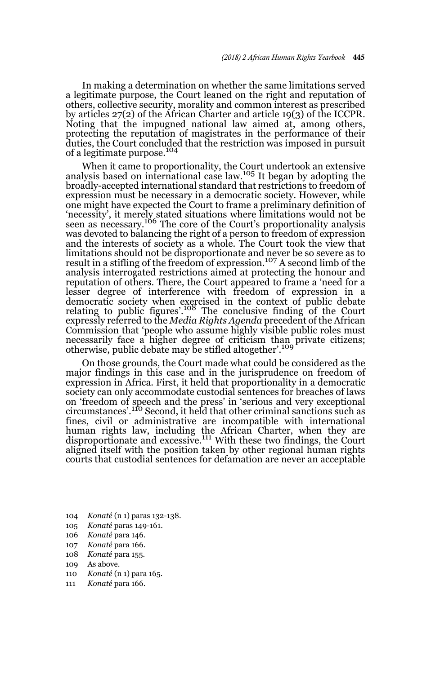In making a determination on whether the same limitations served a legitimate purpose, the Court leaned on the right and reputation of others, collective security, morality and common interest as prescribed by articles 27(2) of the African Charter and article 19(3) of the ICCPR. Noting that the impugned national law aimed at, among others, protecting the reputation of magistrates in the performance of their duties, the Court concluded that the restriction was imposed in pursuit of a legitimate purpose.<sup>104</sup>

When it came to proportionality, the Court undertook an extensive analysis based on international case law.105 It began by adopting the broadly-accepted international standard that restrictions to freedom of expression must be necessary in a democratic society. However, while one might have expected the Court to frame a preliminary definition of 'necessity', it merely stated situations where limitations would not be seen as necessary.106 The core of the Court's proportionality analysis was devoted to balancing the right of a person to freedom of expression and the interests of society as a whole. The Court took the view that limitations should not be disproportionate and never be so severe as to result in a stifling of the freedom of expression.107 A second limb of the analysis interrogated restrictions aimed at protecting the honour and reputation of others. There, the Court appeared to frame a 'need for a lesser degree of interference with freedom of expression in a democratic society when exercised in the context of public debate relating to public figures'.108 The conclusive finding of the Court expressly referred to the *Media Rights Agenda* precedent of the African Commission that 'people who assume highly visible public roles must necessarily face a higher degree of criticism than private citizens;<br>otherwise, public debate may be stifled altogether'.<sup>109</sup>

On those grounds, the Court made what could be considered as the major findings in this case and in the jurisprudence on freedom of expression in Africa. First, it held that proportionality in a democratic society can only accommodate custodial sentences for breaches of laws on 'freedom of speech and the press' in 'serious and very exceptional circumstances'.110 Second, it held that other criminal sanctions such as fines, civil or administrative are incompatible with international human rights law, including the African Charter, when they are disproportionate and excessive.<sup>111</sup> With these two findings, the Court aligned itself with the position taken by other regional human rights courts that custodial sentences for defamation are never an acceptable

- 104 *Konaté* (n 1) paras 132-138.
- 105 *Konaté* paras 149-161.
- 106 *Konaté* para 146.
- 107 *Konaté* para 166.
- 108 *Konaté* para 155.
- 109 As above.
- 110 *Konaté* (n 1) para 165.
- 111 *Konaté* para 166.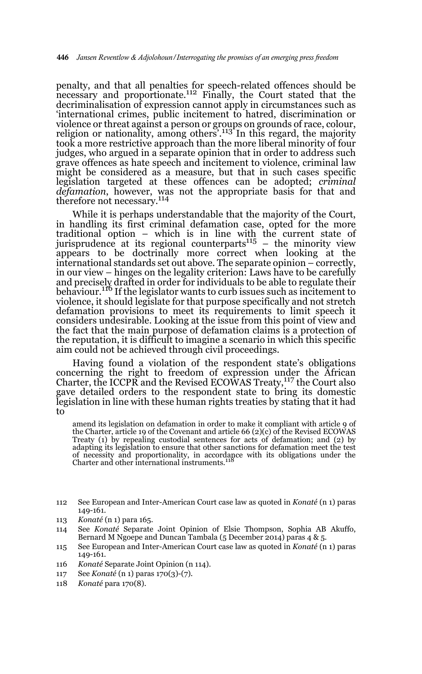penalty, and that all penalties for speech-related offences should be necessary and proportionate.<sup>112</sup> Finally, the Court stated that the decriminalisation of expression cannot apply in circumstances such as 'international crimes, public incitement to hatred, discrimination or violence or threat against a person or groups on grounds of race, colour, religion or nationality, among others'.113 In this regard, the majority took a more restrictive approach than the more liberal minority of four judges, who argued in a separate opinion that in order to address such grave offences as hate speech and incitement to violence, criminal law might be considered as a measure, but that in such cases specific legislation targeted at these offences can be adopted; *criminal* defamation, however, was not the appropriate basis for that and therefore not necessary.<sup>114</sup>

While it is perhaps understandable that the majority of the Court, in handling its first criminal defamation case, opted for the more traditional option – which is in line with the current state of jurisprudence at its regional counterparts<sup>115</sup> – the minority view appears to be doctrinally more correct when looking at the international standards set out above. The separate opinion – correctly, in our view – hinges on the legality criterion: Laws have to be carefully and precisely drafted in order for individuals to be able to regulate their behaviour.<sup>116</sup> If the legislator wants to curb issues such as incitement to violence, it should legislate for that purpose specifically and not stretch defamation provisions to meet its requirements to limit speech it considers undesirable. Looking at the issue from this point of view and the fact that the main purpose of defamation claims is a protection of the reputation, it is difficult to imagine a scenario in which this specific aim could not be achieved through civil proceedings.

Having found a violation of the respondent state's obligations concerning the right to freedom of expression under the African Charter, the ICCPR and the Revised ECOWAS Treaty, <sup>117</sup> the Court also gave detailed orders to the respondent state to bring its domestic legislation in line with these human rights treaties by stating that it had to

amend its legislation on defamation in order to make it compliant with article 9 of the Charter, article 19 of the Covenant and article 66 (2)(c) of the Revised ECOWAS Treaty (1) by repealing custodial sentences for acts of defamation; and (2) by adapting its legislation to ensure that other sanctions for defamation meet the test of necessity and proportionality, in accordance with its obligations under the Charter and other international instruments.<sup>118</sup>

- 113 *Konaté* (n 1) para 165.
- 114 See *Konaté* Separate Joint Opinion of Elsie Thompson, Sophia AB Akuffo, Bernard M Ngoepe and Duncan Tambala (5 December 2014) paras 4 & 5.
- 115 See European and Inter-American Court case law as quoted in *Konaté* (n 1) paras 149-161.
- 116 *Konaté* Separate Joint Opinion (n 114).
- 117 See *Konaté* (n 1) paras 170(3)-(7).
- 118 *Konaté* para 170(8).

<sup>112</sup> See European and Inter-American Court case law as quoted in *Konaté* (n 1) paras 149-161.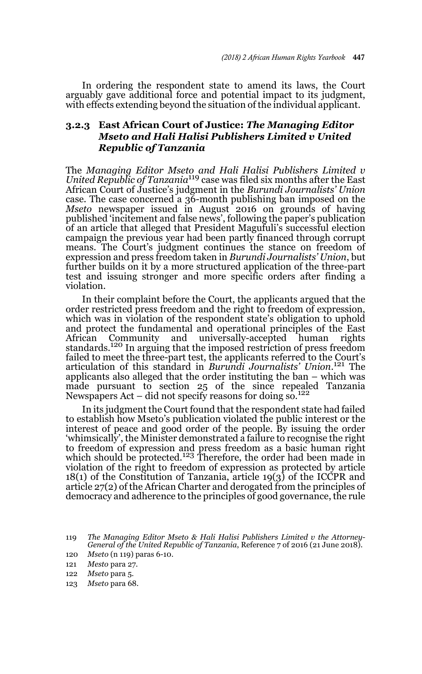In ordering the respondent state to amend its laws, the Court arguably gave additional force and potential impact to its judgment, with effects extending beyond the situation of the individual applicant.

### **3.2.3 East African Court of Justice:** *The Managing Editor Mseto and Hali Halisi Publishers Limited v United Republic of Tanzania*

The *Managing Editor Mseto and Hali Halisi Publishers Limited v United Republic of Tanzania*<sup>119</sup> case was filed six months after the East African Court of Justice's judgment in the *Burundi Journalists' Union* case. The case concerned a 36-month publishing ban imposed on the *Mseto* newspaper issued in August 2016 on grounds of having published 'incitement and false news', following the paper's publication of an article that alleged that President Magufuli's successful election campaign the previous year had been partly financed through corrupt means. The Court's judgment continues the stance on freedom of expression and press freedom taken in *Burundi Journalists' Union*, but further builds on it by a more structured application of the three-part test and issuing stronger and more specific orders after finding a violation.

In their complaint before the Court, the applicants argued that the order restricted press freedom and the right to freedom of expression, which was in violation of the respondent state's obligation to uphold and protect the fundamental and operational principles of the East Community and universally-accepted human rights standards.120 In arguing that the imposed restriction of press freedom failed to meet the three-part test, the applicants referred to the Court's articulation of this standard in *Burundi Journalists' Union*. 121 The applicants also alleged that the order instituting the ban – which was made pursuant to section 25 of the since repealed Tanzania Newspapers Act – did not specify reasons for doing  $\frac{\text{so}}{122}$ 

In its judgment the Court found that the respondent state had failed to establish how Mseto's publication violated the public interest or the interest of peace and good order of the people. By issuing the order 'whimsically', the Minister demonstrated a failure to recognise the right to freedom of expression and press freedom as a basic human right<br>which should be protected.<sup>123</sup> Therefore, the order had been made in violation of the right to freedom of expression as protected by article 18(1) of the Constitution of Tanzania, article 19(3) of the ICCPR and article 27(2) of the African Charter and derogated from the principles of democracy and adherence to the principles of good governance, the rule

<sup>119</sup> *The Managing Editor Mseto & Hali Halisi Publishers Limited v the Attorney-General of the United Republic of Tanzania*, Reference 7 of 2016 (21 June 2018).

<sup>120</sup> *Mseto* (n 119) paras 6-10.

<sup>121</sup> *Mesto* para 27.

<sup>122</sup> *Mseto* para 5.

<sup>123</sup> *Mseto* para 68.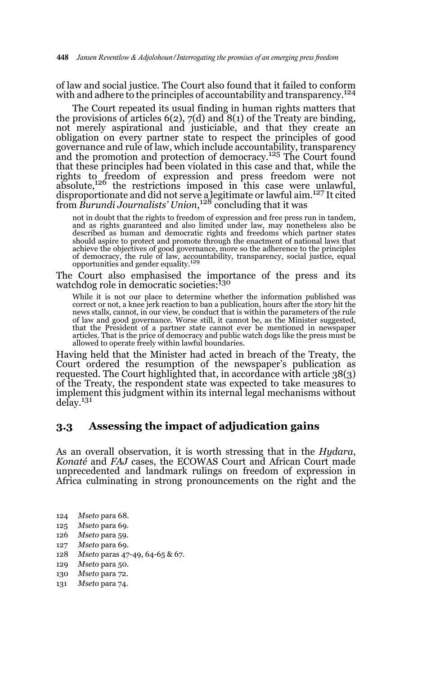of law and social justice. The Court also found that it failed to conform with and adhere to the principles of accountability and transparency.<sup>124</sup>

The Court repeated its usual finding in human rights matters that the provisions of articles 6(2), 7(d) and 8(1) of the Treaty are binding, not merely aspirational and justiciable, and that they create an obligation on every partner state to respect the principles of good governance and rule of law, which include accountability, transparency and the promotion and protection of democracy.125 The Court found that these principles had been violated in this case and that, while the rights to freedom of expression and press freedom were not absolute,126 the restrictions imposed in this case were unlawful, disproportionate and did not serve a legitimate or lawful aim.127 It cited from *Burundi Journalists' Union*, 128 concluding that it was

not in doubt that the rights to freedom of expression and free press run in tandem, and as rights guaranteed and also limited under law, may nonetheless also be described as human and democratic rights and freedoms which partner states should aspire to protect and promote through the enactment of national laws that achieve the objectives of good governance, more so the adherence to the principles of democracy, the rule of law, accountability, transparency, social justice, equal opportunities and gender equality.<sup>129</sup>

The Court also emphasised the importance of the press and its watchdog role in democratic societies:<sup>130</sup>

While it is not our place to determine whether the information published was correct or not, a knee jerk reaction to ban a publication, hours after the story hit the news stalls, cannot, in our view, be conduct that is within the parameters of the rule of law and good governance. Worse still, it cannot be, as the Minister suggested, that the President of a partner state cannot ever be mentioned in newspaper articles. That is the price of democracy and public watch dogs like the press must be allowed to operate freely within lawful boundaries.

Having held that the Minister had acted in breach of the Treaty, the Court ordered the resumption of the newspaper's publication as requested. The Court highlighted that, in accordance with article 38(3) of the Treaty, the respondent state was expected to take measures to implement this judgment within its internal legal mechanisms without delay.131

#### **3.3 Assessing the impact of adjudication gains**

As an overall observation, it is worth stressing that in the *Hydara*, *Konaté* and *FAJ* cases, the ECOWAS Court and African Court made unprecedented and landmark rulings on freedom of expression in Africa culminating in strong pronouncements on the right and the

- 124 *Mseto* para 68.
- 125 *Mseto* para 69.
- 126 *Mseto* para 59.
- 127 *Mseto* para 69.
- 128 *Mseto* paras 47-49, 64-65 & 67.
- 129 *Mseto* para 50.
- 130 *Mseto* para 72.
- 131 *Mseto* para 74.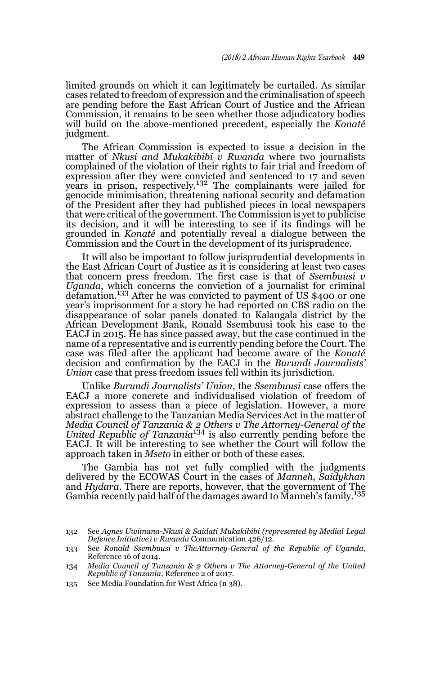limited grounds on which it can legitimately be curtailed. As similar cases related to freedom of expression and the criminalisation of speech are pending before the East African Court of Justice and the African Commission, it remains to be seen whether those adjudicatory bodies will build on the above-mentioned precedent, especially the *Konaté* judgment.

The African Commission is expected to issue a decision in the matter of *Nkusi and Mukakibibi v Rwanda* where two journalists complained of the violation of their rights to fair trial and freedom of expression after they were convicted and sentenced to 17 and seven years in prison, respectively.132 The complainants were jailed for genocide minimisation, threatening national security and defamation of the President after they had published pieces in local newspapers that were critical of the government. The Commission is yet to publicise its decision, and it will be interesting to see if its findings will be grounded in *Konaté* and potentially reveal a dialogue between the Commission and the Court in the development of its jurisprudence.

It will also be important to follow jurisprudential developments in the East African Court of Justice as it is considering at least two cases that concern press freedom. The first case is that of *Ssembuusi v Uganda*, which concerns the conviction of a journalist for criminal defamation.133 After he was convicted to payment of US \$400 or one year's imprisonment for a story he had reported on CBS radio on the disappearance of solar panels donated to Kalangala district by the African Development Bank, Ronald Ssembuusi took his case to the EACJ in 2015. He has since passed away, but the case continued in the name of a representative and is currently pending before the Court. The case was filed after the applicant had become aware of the *Konaté* decision and confirmation by the EACJ in the *Burundi Journalists' Union* case that press freedom issues fell within its jurisdiction.

Unlike *Burundi Journalists' Union*, the *Ssembuusi* case offers the EACJ a more concrete and individualised violation of freedom of expression to assess than a piece of legislation. However, a more abstract challenge to the Tanzanian Media Services Act in the matter of *Media Council of Tanzania & 2 Others v The Attorney-General of the United Republic of Tanzania*134 is also currently pending before the EACJ. It will be interesting to see whether the Court will follow the approach taken in *Mseto* in either or both of these cases.

The Gambia has not yet fully complied with the judgments delivered by the ECOWAS Court in the cases of *Manneh*, *Saidykhan* and *Hydara*. There are reports, however, that the government of The Gambia recently paid half of the damages award to Manneh's family.<sup>135</sup>

135 See Media Foundation for West Africa (n 38).

<sup>132</sup> See *Agnes Uwimana-Nkusi & Saidati Mukakibibi (represented by Medial Legal Defence Initiative) v Rwanda* Communication 426/12.

<sup>133</sup> See *Ronald Ssembuusi v TheAttorney-General of the Republic of Uganda*, Reference 16 of 2014.

<sup>134</sup> *Media Council of Tanzania & 2 Others v The Attorney-General of the United Republic of Tanzania*, Reference 2 of 2017.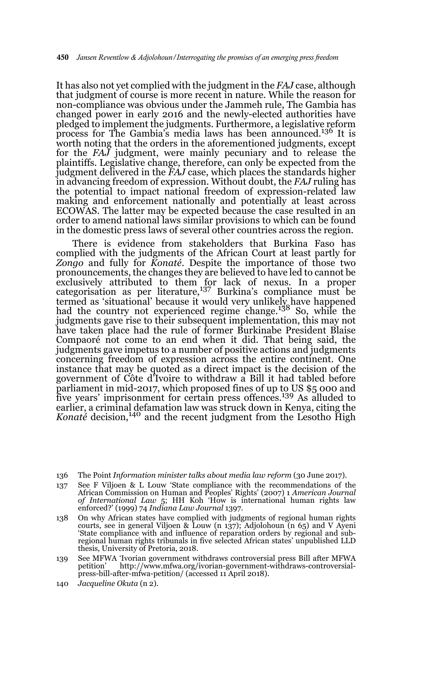It has also not yet complied with the judgment in the *FAJ* case, although that judgment of course is more recent in nature. While the reason for non-compliance was obvious under the Jammeh rule, The Gambia has changed power in early 2016 and the newly-elected authorities have pledged to implement the judgments. Furthermore, a legislative reform process for The Gambia's media laws has been announced.136 It is worth noting that the orders in the aforementioned judgments, except for the *FAJ* judgment, were mainly pecuniary and to release the plaintiffs. Legislative change, therefore, can only be expected from the judgment delivered in the *FAJ* case, which places the standards higher in advancing freedom of expression. Without doubt, the *FAJ* ruling has the potential to impact national freedom of expression-related law making and enforcement nationally and potentially at least across ECOWAS. The latter may be expected because the case resulted in an order to amend national laws similar provisions to which can be found in the domestic press laws of several other countries across the region.

There is evidence from stakeholders that Burkina Faso has complied with the judgments of the African Court at least partly for *Zongo* and fully for *Konaté*. Despite the importance of those two pronouncements, the changes they are believed to have led to cannot be exclusively attributed to them for lack of nexus. In a proper categorisation as per literature,137 Burkina's compliance must be termed as 'situational' because it would very unlikely have happened had the country not experienced regime change.138 So, while the judgments gave rise to their subsequent implementation, this may not have taken place had the rule of former Burkinabe President Blaise Compaoré not come to an end when it did. That being said, the judgments gave impetus to a number of positive actions and judgments concerning freedom of expression across the entire continent. One instance that may be quoted as a direct impact is the decision of the government of Côte d'Ivoire to withdraw a Bill it had tabled before parliament in mid-2017, which proposed fines of up to US \$5 000 and five years' imprisonment for certain press offences.139 As alluded to earlier, a criminal defamation law was struck down in Kenya, citing the *Konaté* decision,<sup>140</sup> and the recent judgment from the Lesotho High

136 The Point *Information minister talks about media law reform* (30 June 2017).

- 137 See F Viljoen & L Louw 'State compliance with the recommendations of the African Commission on Human and Peoples' Rights' (2007) 1 *American Journal of International Law* 5; HH Koh 'How is international human rights law enforced?' (1999) 74 *Indiana Law Journal* 1397.
- 138 On why African states have complied with judgments of regional human rights courts, see in general Viljoen & Louw (n 137); Adjolohoun (n 65) and V Ayeni 'State compliance with and influence of reparation orders by regional and subregional human rights tribunals in five selected African states' unpublished LLD thesis, University of Pretoria, 2018.
- 139 See MFWA 'Ivorian government withdraws controversial press Bill after MFWA petition' http://www.mfwa.org/ivorian-government-withdraws-controversial-press-bill-after-mfwa-petition/ (accessed 11 April 2018).
- 140 *Jacqueline Okuta* (n 2).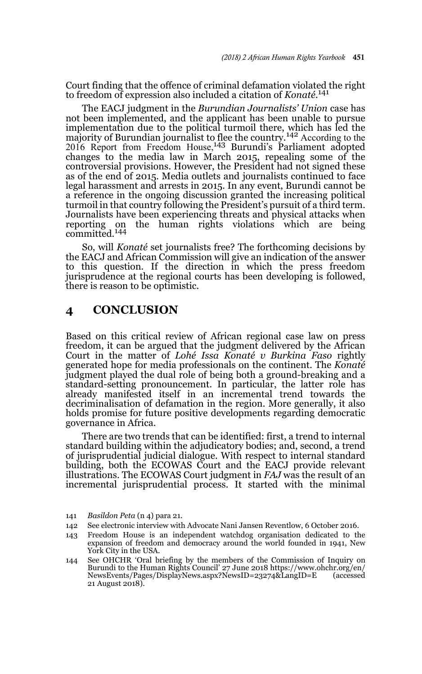Court finding that the offence of criminal defamation violated the right to freedom of expression also included a citation of *Konaté*. 141

The EACJ judgment in the *Burundian Journalists' Union* case has not been implemented, and the applicant has been unable to pursue implementation due to the political turmoil there, which has led the majority of Burundian journalist to flee the country.142 According to the 2016 Report from Freedom House,<sup>143</sup> Burundi's Parliament adopted changes to the media law in March 2015, repealing some of the controversial provisions. However, the President had not signed these as of the end of 2015. Media outlets and journalists continued to face legal harassment and arrests in 2015. In any event, Burundi cannot be a reference in the ongoing discussion granted the increasing political turmoil in that country following the President's pursuit of a third term. Journalists have been experiencing threats and physical attacks when reporting on the human rights violations which are being committed.<sup>144</sup>

So, will *Konaté* set journalists free? The forthcoming decisions by the EACJ and African Commission will give an indication of the answer to this question. If the direction in which the press freedom jurisprudence at the regional courts has been developing is followed, there is reason to be optimistic.

# **4 CONCLUSION**

Based on this critical review of African regional case law on press freedom, it can be argued that the judgment delivered by the African Court in the matter of *Lohé Issa Konaté v Burkina Faso* rightly generated hope for media professionals on the continent. The *Konaté* judgment played the dual role of being both a ground-breaking and a standard-setting pronouncement. In particular, the latter role has already manifested itself in an incremental trend towards the decriminalisation of defamation in the region. More generally, it also holds promise for future positive developments regarding democratic governance in Africa.

There are two trends that can be identified: first, a trend to internal standard building within the adjudicatory bodies; and, second, a trend of jurisprudential judicial dialogue. With respect to internal standard building, both the ECOWAS Court and the EACJ provide relevant illustrations. The ECOWAS Court judgment in *FAJ* was the result of an incremental jurisprudential process. It started with the minimal

- 141 *Basildon Peta* (n 4) para 21.
- 142 See electronic interview with Advocate Nani Jansen Reventlow, 6 October 2016.
- 143 Freedom House is an independent watchdog organisation dedicated to the expansion of freedom and democracy around the world founded in 1941, New York City in the USA.
- 144 See OHCHR 'Oral briefing by the members of the Commission of Inquiry on Burundi to the Human Rights Council' 27 June 2018 https://www.ohchr.org/en/ NewsEvents/Pages/DisplayNews.aspx?NewsID=23274&LangID=E 21 August 2018).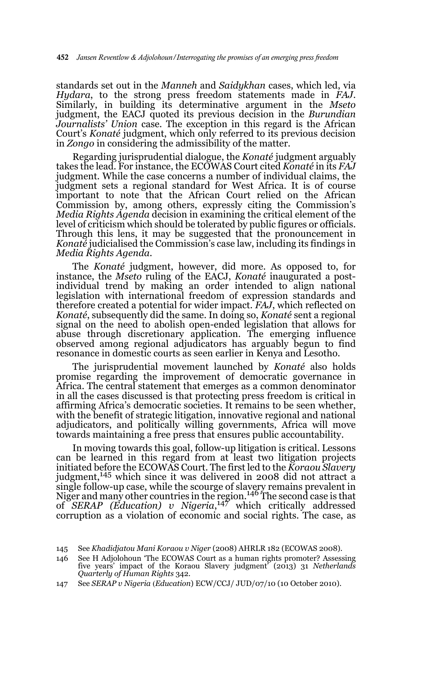standards set out in the *Manneh* and *Saidykhan* cases, which led, via *Hydara*, to the strong press freedom statements made in *FAJ*. Similarly, in building its determinative argument in the *Mseto* judgment, the EACJ quoted its previous decision in the *Burundian Journalists' Union* case. The exception in this regard is the African Court's *Konaté* judgment, which only referred to its previous decision in *Zongo* in considering the admissibility of the matter.

Regarding jurisprudential dialogue, the *Konaté* judgment arguably takes the lead. For instance, the ECOWAS Court cited *Konaté* in its *FAJ* judgment. While the case concerns a number of individual claims, the judgment sets a regional standard for West Africa. It is of course important to note that the African Court relied on the African Commission by, among others, expressly citing the Commission's *Media Rights Agenda* decision in examining the critical element of the level of criticism which should be tolerated by public figures or officials. Through this lens, it may be suggested that the pronouncement in *Konaté* judicialised the Commission's case law, including its findings in *Media Rights Agenda*.

The *Konaté* judgment, however, did more. As opposed to, for instance, the *Mseto* ruling of the EACJ, *Konaté* inaugurated a postindividual trend by making an order intended to align national legislation with international freedom of expression standards and therefore created a potential for wider impact. *FAJ*, which reflected on *Konaté*, subsequently did the same. In doing so, *Konaté* sent a regional signal on the need to abolish open-ended legislation that allows for abuse through discretionary application. The emerging influence observed among regional adjudicators has arguably begun to find resonance in domestic courts as seen earlier in Kenya and Lesotho.

The jurisprudential movement launched by *Konaté* also holds promise regarding the improvement of democratic governance in Africa. The central statement that emerges as a common denominator in all the cases discussed is that protecting press freedom is critical in affirming Africa's democratic societies. It remains to be seen whether, with the benefit of strategic litigation, innovative regional and national adjudicators, and politically willing governments, Africa will move towards maintaining a free press that ensures public accountability.

In moving towards this goal, follow-up litigation is critical. Lessons can be learned in this regard from at least two litigation projects initiated before the ECOWAS Court. The first led to the *Koraou Slavery* judgment,<sup>145</sup> which since it was delivered in 2008 did not attract a single follow-up case, while the scourge of slavery remains prevalent in Niger and many other countries in the region.<sup>146</sup> The second case is that of *SERAP (Education) v Nigeria*, 147 which critically addressed corruption as a violation of economic and social rights. The case, as

<sup>145</sup> See *Khadidjatou Mani Koraou v Niger* (2008) AHRLR 182 (ECOWAS 2008).

<sup>146</sup> See H Adjolohoun 'The ECOWAS Court as a human rights promoter? Assessing five years' impact of the Koraou Slavery judgment' (2013) 31 *Netherlands Quarterly of Human Rights* 342.

<sup>147</sup> See *SERAP v Nigeria* (*Education*) ECW/CCJ/ JUD/07/10 (10 October 2010).